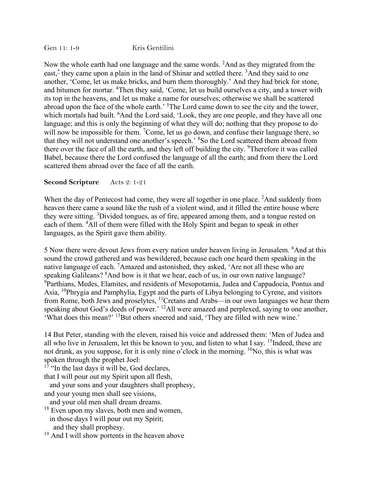Gen 11: 1-9 Kris Gentilini

Now the whole earth had one language and the same words. <sup>2</sup>And as they migrated from the east,<sup>\*</sup> they came upon a plain in the land of Shinar and settled there. <sup>3</sup>And they said to one another, 'Come, let us make bricks, and burn them thoroughly.' And they had brick for stone, and bitumen for mortar. <sup>4</sup>Then they said, 'Come, let us build ourselves a city, and a tower with its top in the heavens, and let us make a name for ourselves; otherwise we shall be scattered abroad upon the face of the whole earth.' <sup>5</sup>The Lord came down to see the city and the tower, which mortals had built. <sup>6</sup>And the Lord said, 'Look, they are one people, and they have all one language; and this is only the beginning of what they will do; nothing that they propose to do will now be impossible for them.  $^7$ Come, let us go down, and confuse their language there, so that they will not understand one another's speech.' <sup>8</sup>So the Lord scattered them abroad from there over the face of all the earth, and they left off building the city. <sup>9</sup>Therefore it was called Babel, because there the Lord confused the language of all the earth; and from there the Lord scattered them abroad over the face of all the earth.

## **Second Scripture** Acts 2: 1-21

When the day of Pentecost had come, they were all together in one place. <sup>2</sup>And suddenly from heaven there came a sound like the rush of a violent wind, and it filled the entire house where they were sitting. <sup>3</sup>Divided tongues, as of fire, appeared among them, and a tongue rested on each of them. <sup>4</sup>All of them were filled with the Holy Spirit and began to speak in other languages, as the Spirit gave them ability.

5 Now there were devout Jews from every nation under heaven living in Jerusalem. <sup>6</sup>And at this sound the crowd gathered and was bewildered, because each one heard them speaking in the native language of each. <sup>7</sup>Amazed and astonished, they asked, 'Are not all these who are speaking Galileans? <sup>8</sup>And how is it that we hear, each of us, in our own native language? <sup>9</sup>Parthians, Medes, Elamites, and residents of Mesopotamia, Judea and Cappadocia, Pontus and Asia, 10Phrygia and Pamphylia, Egypt and the parts of Libya belonging to Cyrene, and visitors from Rome, both Jews and proselytes, 11Cretans and Arabs—in our own languages we hear them speaking about God's deeds of power.' <sup>12</sup>All were amazed and perplexed, saying to one another, 'What does this mean?' 13But others sneered and said, 'They are filled with new wine.'

14 But Peter, standing with the eleven, raised his voice and addressed them: 'Men of Judea and all who live in Jerusalem, let this be known to you, and listen to what I say. <sup>15</sup>Indeed, these are not drunk, as you suppose, for it is only nine o'clock in the morning. <sup>16</sup>No, this is what was spoken through the prophet Joel:

 $17$  "In the last days it will be, God declares,

that I will pour out my Spirit upon all flesh,

 and your sons and your daughters shall prophesy, and your young men shall see visions,

and your old men shall dream dreams.

<sup>18</sup> Even upon my slaves, both men and women, in those days I will pour out my Spirit; and they shall prophesy.

 $19$  And I will show portents in the heaven above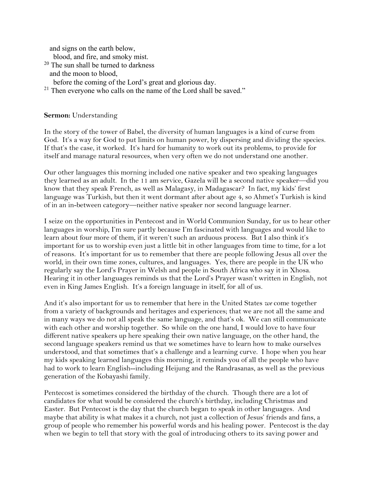and signs on the earth below,

blood, and fire, and smoky mist.

- <sup>20</sup> The sun shall be turned to darkness and the moon to blood,
	- before the coming of the Lord's great and glorious day.
- $21$  Then everyone who calls on the name of the Lord shall be saved."

## **Sermon:** Understanding

In the story of the tower of Babel, the diversity of human languages is a kind of curse from God. It's a way for God to put limits on human power, by dispersing and dividing the species. If that's the case, it worked. It's hard for humanity to work out its problems, to provide for itself and manage natural resources, when very often we do not understand one another.

Our other languages this morning included one native speaker and two speaking languages they learned as an adult. In the 11 am service, Gazela will be a second native speaker—did you know that they speak French, as well as Malagasy, in Madagascar? In fact, my kids' first language was Turkish, but then it went dormant after about age 4, so Ahmet's Turkish is kind of in an in-between category—neither native speaker nor second language learner.

I seize on the opportunities in Pentecost and in World Communion Sunday, for us to hear other languages in worship, I'm sure partly because I'm fascinated with languages and would like to learn about four more of them, if it weren't such an arduous process. But I also think it's important for us to worship even just a little bit in other languages from time to time, for a lot of reasons. It's important for us to remember that there are people following Jesus all over the world, in their own time zones, cultures, and languages. Yes, there are people in the UK who regularly say the Lord's Prayer in Welsh and people in South Africa who say it in Xhosa. Hearing it in other languages reminds us that the Lord's Prayer wasn't written in English, not even in King James English. It's a foreign language in itself, for all of us.

And it's also important for us to remember that here in the United States *we* come together from a variety of backgrounds and heritages and experiences; that we are not all the same and in many ways we do not all speak the same language, and that's ok. We can still communicate with each other and worship together. So while on the one hand, I would love to have four different native speakers up here speaking their own native language, on the other hand, the second language speakers remind us that we sometimes have to learn how to make ourselves understood, and that sometimes that's a challenge and a learning curve. I hope when you hear my kids speaking learned languages this morning, it reminds you of all the people who have had to work to learn English--including Heijung and the Randrasanas, as well as the previous generation of the Kobayashi family.

Pentecost is sometimes considered the birthday of the church. Though there are a lot of candidates for what would be considered the church's birthday, including Christmas and Easter. But Pentecost is the day that the church began to speak in other languages. And maybe that ability is what makes it a church, not just a collection of Jesus' friends and fans, a group of people who remember his powerful words and his healing power. Pentecost is the day when we begin to tell that story with the goal of introducing others to its saving power and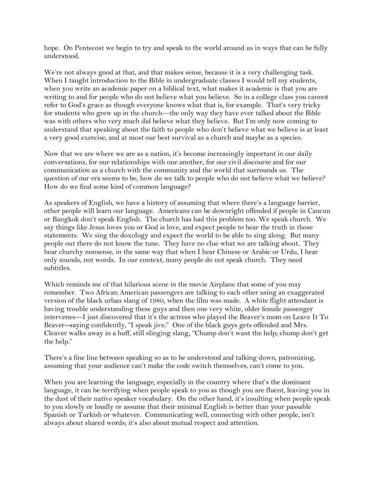hope. On Pentecost we begin to try and speak to the world around us in ways that can be fully understood.

We're not always good at that, and that makes sense, because it is a very challenging task. When I taught introduction to the Bible in undergraduate classes I would tell my students, when you write an academic paper on a biblical text, what makes it academic is that you are writing to and for people who do not believe what you believe. So in a college class you cannot refer to God's grace as though everyone knows what that is, for example. That's very tricky for students who grew up in the church—the only way they have ever talked about the Bible was with others who very much did believe what they believe. But I'm only now coming to understand that speaking about the faith to people who don't believe what we believe is at least a very good exercise, and at most our best survival as a church and maybe as a species.

Now that we are where we are as a nation, it's become increasingly important in our daily conversations, for our relationships with one another, for our civil discourse and for our communication as a church with the community and the world that surrounds us. The question of our era seems to be, how do we talk to people who do not believe what we believe? How do we find some kind of common language?

As speakers of English, we have a history of assuming that where there's a language barrier, other people will learn our language. Americans can be downright offended if people in Cancun or Bangkok don't speak English. The church has had this problem too. We speak church. We say things like Jesus loves you or God is love, and expect people to hear the truth in those statements. We sing the doxology and expect the world to be able to sing along. But many people out there do not know the tune. They have no clue what we are talking about. They hear churchy nonsense, in the same way that when I hear Chinese or Arabic or Urdu, I hear only sounds, not words. In our context, many people do not speak church. They need subtitles.

Which reminds me of that hilarious scene in the movie Airplane that some of you may remember. Two African American passengers are talking to each other using an exaggerated version of the black urban slang of 1980, when the film was made. A white flight attendant is having trouble understanding these guys and then one very white, older female passenger intervenes—I just discovered that it's the actress who played the Beaver's mom on Leave It To Beaver--saying confidently, "I speak jive." One of the black guys gets offended and Mrs. Cleaver walks away in a huff, still slinging slang, "Chump don't want the help; chump don't get the help."

There's a fine line between speaking so as to be understood and talking down, patronizing, assuming that your audience can't make the code switch themselves, can't come to you.

When you are learning the language, especially in the country where that's the dominant language, it can be terrifying when people speak to you as though you are fluent, leaving you in the dust of their native speaker vocabulary. On the other hand, it's insulting when people speak to you slowly or loudly or assume that their minimal English is better than your passable Spanish or Turkish or whatever. Communicating well, connecting with other people, isn't always about shared words; it's also about mutual respect and attention.